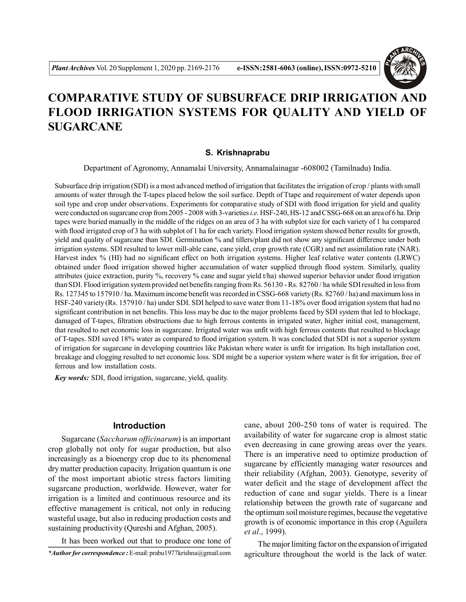

# **COMPARATIVE STUDY OF SUBSURFACE DRIP IRRIGATION AND FLOOD IRRIGATION SYSTEMS FOR QUALITY AND YIELD OF SUGARCANE**

#### **S. Krishnaprabu**

Department of Agronomy, Annamalai University, Annamalainagar -608002 (Tamilnadu) India.

Subsurface drip irrigation (SDI) is a most advanced method of irrigation that facilitates the irrigation of crop / plants with small amounts of water through the T-tapes placed below the soil surface. Depth of Ttape and requirement of water depends upon soil type and crop under observations. Experiments for comparative study of SDI with flood irrigation for yield and quality were conducted on sugarcane crop from 2005 - 2008 with 3-varieties *i.e.* HSF-240, HS-12 and CSSG-668 on an area of 6 ha. Drip tapes were buried manually in the middle of the ridges on an area of 3 ha with subplot size for each variety of 1 ha compared with flood irrigated crop of 3 ha with subplot of 1 ha for each variety. Flood irrigation system showed better results for growth, yield and quality of sugarcane than SDI. Germination % and tillers/plant did not show any significant difference under both irrigation systems. SDI resulted to lower mill-able cane, cane yield, crop growth rate (CGR) and net assimilation rate (NAR). Harvest index % (HI) had no significant effect on both irrigation systems. Higher leaf relative water contents (LRWC) obtained under flood irrigation showed higher accumulation of water supplied through flood system. Similarly, quality attributes (juice extraction, purity %, recovery % cane and sugar yield t/ha) showed superior behavior under flood irrigation than SDI. Flood irrigation system provided net benefits ranging from Rs. 56130 - Rs. 82760 / ha while SDI resulted in loss from Rs. 127345 to 157910 / ha. Maximum income benefit was recorded in CSSG-668 variety (Rs. 82760 / ha) and maximum loss in HSF-240 variety (Rs. 157910 / ha) under SDI. SDI helped to save water from 11-18% over flood irrigation system that had no significant contribution in net benefits. This loss may be due to the major problems faced by SDI system that led to blockage, damaged of T-tapes, filtration obstructions due to high ferrous contents in irrigated water, higher initial cost, management, that resulted to net economic loss in sugarcane. Irrigated water was unfit with high ferrous contents that resulted to blockage of T-tapes. SDI saved 18% water as compared to flood irrigation system. It was concluded that SDI is not a superior system of irrigation for sugarcane in developing countries like Pakistan where water is unfit for irrigation. Its high installation cost, breakage and clogging resulted to net economic loss. SDI might be a superior system where water is fit for irrigation, free of ferrous and low installation costs.

*Key words:* SDI, flood irrigation, sugarcane, yield, quality.

# **Introduction**

Sugarcane (*Saccharum officinarum*) is an important crop globally not only for sugar production, but also increasingly as a bioenergy crop due to its phenomenal dry matter production capacity. Irrigation quantum is one of the most important abiotic stress factors limiting sugarcane production, worldwide. However, water for irrigation is a limited and continuous resource and its effective management is critical, not only in reducing wasteful usage, but also in reducing production costs and sustaining productivity (Qureshi and Afghan, 2005).

It has been worked out that to produce one tone of

cane, about 200-250 tons of water is required. The availability of water for sugarcane crop is almost static even decreasing in cane growing areas over the years. There is an imperative need to optimize production of sugarcane by efficiently managing water resources and their reliability (Afghan, 2003). Genotype, severity of water deficit and the stage of development affect the reduction of cane and sugar yields. There is a linear relationship between the growth rate of sugarcane and the optimum soil moisture regimes, because the vegetative growth is of economic importance in this crop (Aguilera *et al*., 1999).

The major limiting factor on the expansion of irrigated agriculture throughout the world is the lack of water.

*<sup>\*</sup>Author for correspondence :* E-mail: prabu1977krishna@gmail.com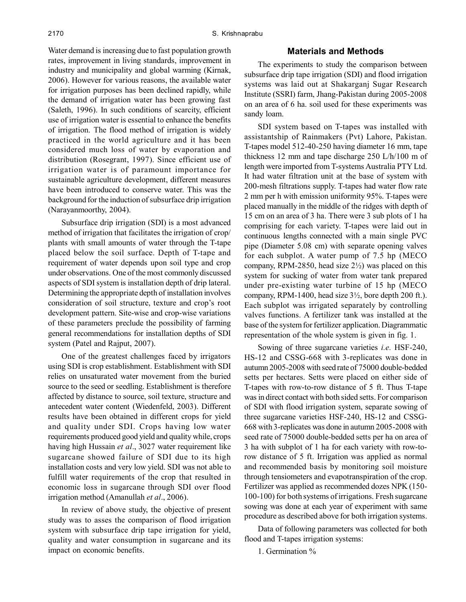Water demand is increasing due to fast population growth rates, improvement in living standards, improvement in industry and municipality and global warming (Kirnak, 2006). However for various reasons, the available water for irrigation purposes has been declined rapidly, while the demand of irrigation water has been growing fast (Saleth, 1996). In such conditions of scarcity, efficient use of irrigation water is essential to enhance the benefits of irrigation. The flood method of irrigation is widely practiced in the world agriculture and it has been considered much loss of water by evaporation and distribution (Rosegrant, 1997). Since efficient use of irrigation water is of paramount importance for sustainable agriculture development, different measures have been introduced to conserve water. This was the background for the induction of subsurface drip irrigation (Narayanmoorthy, 2004).

Subsurface drip irrigation (SDI) is a most advanced method of irrigation that facilitates the irrigation of crop/ plants with small amounts of water through the T-tape placed below the soil surface. Depth of T-tape and requirement of water depends upon soil type and crop under observations. One of the most commonly discussed aspects of SDI system is installation depth of drip lateral. Determining the appropriate depth of installation involves consideration of soil structure, texture and crop's root development pattern. Site-wise and crop-wise variations of these parameters preclude the possibility of farming general recommendations for installation depths of SDI system (Patel and Rajput, 2007).

One of the greatest challenges faced by irrigators using SDI is crop establishment. Establishment with SDI relies on unsaturated water movement from the buried source to the seed or seedling. Establishment is therefore affected by distance to source, soil texture, structure and antecedent water content (Wiedenfeld, 2003). Different results have been obtained in different crops for yield and quality under SDI. Crops having low water requirements produced good yield and quality while, crops having high Hussain *et al*., 3027 water requirement like sugarcane showed failure of SDI due to its high installation costs and very low yield. SDI was not able to fulfill water requirements of the crop that resulted in economic loss in sugarcane through SDI over flood irrigation method (Amanullah *et al*., 2006).

In review of above study, the objective of present study was to asses the comparison of flood irrigation system with subsurface drip tape irrigation for yield, quality and water consumption in sugarcane and its impact on economic benefits.

#### **Materials and Methods**

The experiments to study the comparison between subsurface drip tape irrigation (SDI) and flood irrigation systems was laid out at Shakarganj Sugar Research Institute (SSRI) farm, Jhang-Pakistan during 2005-2008 on an area of 6 ha. soil used for these experiments was sandy loam.

SDI system based on T-tapes was installed with assistantship of Rainmakers (Pvt) Lahore, Pakistan. T-tapes model 512-40-250 having diameter 16 mm, tape thickness 12 mm and tape discharge 250 L/h/100 m of length were imported from T-systems Australia PTY Ltd. It had water filtration unit at the base of system with 200-mesh filtrations supply. T-tapes had water flow rate 2 mm per h with emission uniformity 95%. T-tapes were placed manually in the middle of the ridges with depth of 15 cm on an area of 3 ha. There were 3 sub plots of 1 ha comprising for each variety. T-tapes were laid out in continuous lengths connected with a main single PVC pipe (Diameter 5.08 cm) with separate opening valves for each subplot. A water pump of 7.5 hp (MECO company, RPM-2850, head size  $2\frac{1}{2}$  was placed on this system for sucking of water from water tank prepared under pre-existing water turbine of 15 hp (MECO company, RPM-1400, head size  $3\frac{1}{2}$ , bore depth 200 ft.). Each subplot was irrigated separately by controlling valves functions. A fertilizer tank was installed at the base of the system for fertilizer application. Diagrammatic representation of the whole system is given in fig. 1.

Sowing of three sugarcane varieties *i.e.* HSF-240, HS-12 and CSSG-668 with 3-replicates was done in autumn 2005-2008 with seed rate of 75000 double-bedded setts per hectares. Setts were placed on either side of T-tapes with row-to-row distance of 5 ft. Thus T-tape was in direct contact with both sided setts. For comparison of SDI with flood irrigation system, separate sowing of three sugarcane varieties HSF-240, HS-12 and CSSG-668 with 3-replicates was done in autumn 2005-2008 with seed rate of 75000 double-bedded setts per ha on area of 3 ha with subplot of 1 ha for each variety with row-torow distance of 5 ft. Irrigation was applied as normal and recommended basis by monitoring soil moisture through tensiometers and evapotranspiration of the crop. Fertilizer was applied as recommended dozes NPK (150- 100-100) for both systems of irrigations. Fresh sugarcane sowing was done at each year of experiment with same procedure as described above for both irrigation systems.

Data of following parameters was collected for both flood and T-tapes irrigation systems:

1. Germination %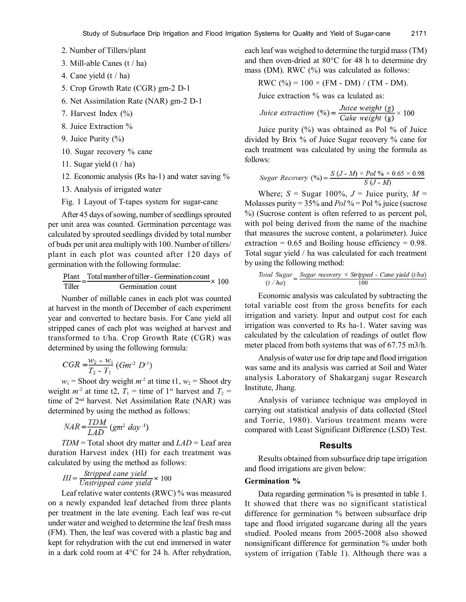- 2. Number of Tillers/plant
- 3. Mill-able Canes (t / ha)
- 4. Cane yield (t / ha)
- 5. Crop Growth Rate (CGR) gm-2 D-1
- 6. Net Assimilation Rate (NAR) gm-2 D-1
- 7. Harvest Index (%)
- 8. Juice Extraction %
- 9. Juice Purity (%)
- 10. Sugar recovery % cane
- 11. Sugar yield  $(t / ha)$
- 12. Economic analysis (Rs ha-1) and water saving %
- 13. Analysis of irrigated water

Fig. 1 Layout of T-tapes system for sugar-cane

After 45 days of sowing, number of seedlings sprouted per unit area was counted. Germination percentage was calculated by sprouted seedlings divided by total number of buds per unit area multiply with 100. Number of tillers/ plant in each plot was counted after 120 days of germination with the following formulae:

$$
\frac{Plant}{Tiller} = \frac{Total number of tiller - Germanation count}{Germanation count} \times 100
$$

Number of millable canes in each plot was counted at harvest in the month of December of each experiment year and converted to hectare basis. For Cane yield all stripped canes of each plot was weighed at harvest and transformed to t/ha. Crop Growth Rate (CGR) was determined by using the following formula:

$$
CGR = \frac{w_2 - w_1}{T_2 - T_1} (Gm^2 D^{-1})
$$

 $w_1$  = Shoot dry weight  $m^2$  at time t1,  $w_2$  = Shoot dry weight  $m<sup>2</sup>$  at time t2,  $T_1$  = time of 1<sup>st</sup> harvest and  $T_2$  = time of 2nd harvest. Net Assimilation Rate (NAR) was determined by using the method as follows:

$$
NAR = \frac{TDM}{LAD} \left(gm^2 \ day^{-1}\right)
$$

*TDM* = Total shoot dry matter and *LAD* = Leaf area duration Harvest index (HI) for each treatment was calculated by using the method as follows:

$$
HI = \frac{Stripped \text{ cane yield}}{Unstripped \text{ cane yield}} \times 100
$$

Leaf relative water contents (RWC) % was measured on a newly expanded leaf detached from three plants per treatment in the late evening. Each leaf was re-cut under water and weighed to determine the leaf fresh mass (FM). Then, the leaf was covered with a plastic bag and kept for rehydration with the cut end immersed in water in a dark cold room at 4°C for 24 h. After rehydration,

each leaf was weighed to determine the turgid mass (TM) and then oven-dried at 80°C for 48 h to determine dry mass (DM). RWC (%) was calculated as follows:

$$
RWC (%) = 100 \times (FM - DM) / (TM - DM).
$$

Juice extraction % was ca lculated as:

$$
Juice extraction (%) = \frac{Juice weight (g)}{Cake weight (g)} \times 100
$$

Juice purity (%) was obtained as Pol % of Juice divided by Brix % of Juice Sugar recovery % cane for each treatment was calculated by using the formula as follows:

Sugar Recovery (%) = 
$$
\frac{S (J - M) \times Pol % 0.65 × 0.98}{S (J - M)}
$$

Where;  $S =$  Sugar 100%,  $J =$  Juice purity,  $M =$ Molasses purity = 35% and *Pol* % = Pol % juice (sucrose %) (Sucrose content is often referred to as percent pol, with pol being derived from the name of the machine that measures the sucrose content, a polarimeter). Juice extraction =  $0.65$  and Boiling house efficiency =  $0.98$ . Total sugar yield / ha was calculated for each treatment by using the following method:

$$
\frac{Total\ Sugar}{(t/ha)} = \frac{Sugar\ recovery \times \text{Stripped - Cane yield (t/ha)}}{100}
$$

Economic analysis was calculated by subtracting the total variable cost from the gross benefits for each irrigation and variety. Input and output cost for each irrigation was converted to Rs ha-1. Water saving was calculated by the calculation of readings of outlet flow meter placed from both systems that was of 67.75 m3/h.

Analysis of water use for drip tape and flood irrigation was same and its analysis was carried at Soil and Water analysis Laboratory of Shakarganj sugar Research Institute, Jhang.

Analysis of variance technique was employed in carrying out statistical analysis of data collected (Steel and Torrie, 1980). Various treatment means were compared with Least Significant Difference (LSD) Test.

#### **Results**

Results obtained from subsurface drip tape irrigation and flood irrigations are given below:

#### **Germination %**

Data regarding germination % is presented in table 1. It showed that there was no significant statistical difference for germination % between subsurface drip tape and flood irrigated sugarcane during all the years studied. Pooled means from 2005-2008 also showed nonsignificant difference for germination % under both system of irrigation (Table 1). Although there was a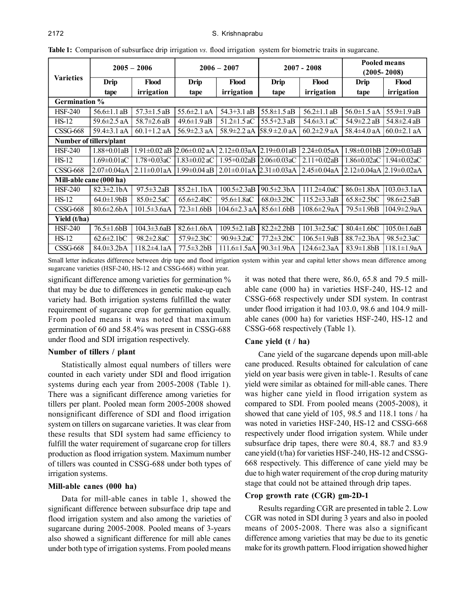|                      | $2005 - 2006$                 |                    | $2006 - 2007$      |                    | $2007 - 2008$      |                    | <b>Pooled means</b><br>$(2005 - 2008)$ |                    |  |
|----------------------|-------------------------------|--------------------|--------------------|--------------------|--------------------|--------------------|----------------------------------------|--------------------|--|
| <b>Varieties</b>     | Drip<br>Flood                 |                    | Drip               | <b>Flood</b>       | <b>Drip</b>        | Flood              | Drip                                   | Flood              |  |
|                      | tape                          | irrigation         | tape               | irrigation         | tape               | irrigation         | tape                                   | irrigation         |  |
| <b>Germination %</b> |                               |                    |                    |                    |                    |                    |                                        |                    |  |
| <b>HSF-240</b>       | $56.6 \pm 1.1$ aB             | $57.3 \pm 1.5$ aB  | 55.6±2.1 aA        | $54.3 + 3.1$ aB    | $55.8 \pm 1.5$ aB  | $56.2 \pm 1.1$ aB  | $56.0 \pm 1.5$ aA                      | $55.9 \pm 1.9$ aB  |  |
| $HS-12$              | 59.6 $\pm$ 2.5 aA             | $58.7 \pm 2.6$ aB  | $49.6 \pm 1.9$ aB  | $51.2 \pm 1.5$ aC  | 55.5+2.3 aB        | 54.6 $\pm$ 3.1 aC  | $54.9 \pm 2.2$ aB                      | $54.8 \pm 2.4$ aB  |  |
| <b>CSSG-668</b>      | 59.4 $\pm$ 3.1 aA             | $60.1 + 1.2$ aA    | $56.9 \pm 2.3$ aA  | 58.9±2.2 aA        | 58.9 $\pm$ 2.0 aA  | $60.2 \pm 2.9$ aA  | 58.4±4.0 aA                            | $60.0 \pm 2.1$ aA  |  |
|                      | Number of tillers/plant       |                    |                    |                    |                    |                    |                                        |                    |  |
| <b>HSF-240</b>       | $1.88 + 0.01aB$               | $1.91 \pm 0.02$ aB | $2.06 \pm 0.02$ aA | $2.12 \pm 0.03$ aA | $2.19 \pm 0.01$ aB | $2.24 \pm 0.05$ aA | 1.98±0.01bB                            | $2.09 \pm 0.03$ aB |  |
| HS-12                | $1.69 \pm 0.01$ aC            | $1.78 + 0.03aC$    | $1.83 \pm 0.02$ aC | $1.95 + 0.02aB$    | $2.06 \pm 0.03$ aC | $2.11 + 0.02aB$    | $1.86 \pm 0.02$ aC                     | $1.94 \pm 0.02$ aC |  |
| <b>CSSG-668</b>      | $2.07 \pm 0.04$ aA            | $2.11 \pm 0.01$ aA | 1.99±0.04 aB       | $2.01 \pm 0.01$ aA | $2.31 \pm 0.03$ aA | 2.45±0.04aA        | $2.12 \pm 0.04$ aA                     | $2.19 \pm 0.02$ aA |  |
|                      | Mill-able cane (000 ha)       |                    |                    |                    |                    |                    |                                        |                    |  |
| <b>HSF-240</b>       | $82.3 \pm 2.1$ bA             | $97.5 \pm 3.2aB$   | $85.2 \pm 1.1$ bA  | 100.5±2.3aB        | $90.5 \pm 2.3$ bA  | $111.2 \pm 4.0$ aC | 86.0±1.8bA                             | $103.0 \pm 3.1$ aA |  |
| $HS-12$              | $64.0 \pm 1.9$                | $85.0 \pm 2.5$ aC  | $65.6 \pm 2.4$ bC  | $95.6 \pm 1.8$ aC  | $68.0 \pm 3.2$ bC  | $115.2 \pm 3.3aB$  | $65.8 \pm 2.5$ bC                      | 98.6±2.5aB         |  |
| $CSSG-668$           | $80.6 \pm 2.6$ bA             | $101.5 \pm 3.6a$ A | $72.3 \pm 1.6$ bB  | $104.6 \pm 2.3$ aA | $85.6 \pm 1.6$ bB  | $108.6 \pm 2.9a$ A | $79.5 \pm 1.9 bB$                      | $104.9 \pm 2.9aA$  |  |
| Yield (t/ha)         |                               |                    |                    |                    |                    |                    |                                        |                    |  |
| <b>HSF-240</b>       | $76.5 \pm 1.6$ bB             | $104.3 \pm 3.6$ aB | $82.6 \pm 1.6$ bA  | $109.5 \pm 2.1aB$  | $82.2 \pm 2.2 bB$  | $101.3 \pm 2.5$ aC | $80.4 \pm 1.6$ <sub>b</sub> C          | $105.0 \pm 1.6$ aB |  |
| $HS-12$              | $62.6 \pm 2.1$ <sub>b</sub> C | $98.2 \pm 2.8$ aC  | 57.9±2.3bC         | $90.9 \pm 3.2$ aC  | 77.2±3.2bC         | 106.5±1.9aB        | 88.7±2.3bA                             | 98.5±2.3aC         |  |
| <b>CSSG-668</b>      | $84.0 \pm 3.2$ bA             | $118.2 \pm 4.1aA$  | $77.5 \pm 3.2 bB$  | $111.6 \pm 1.5aA$  | 90.3±1.9bA         | 124.6±2.3aA        | $83.9 \pm 1.8$ bB                      | 118.1±1.9aA        |  |

**Table 1:** Comparison of subsurface drip irrigation *vs.* flood irrigation system for biometric traits in sugarcane.

Small letter indicates difference between drip tape and flood irrigation system within year and capital letter shows mean difference among sugarcane varieties (HSF-240, HS-12 and CSSG-668) within year.

significant difference among varieties for germination % that may be due to differences in genetic make-up each variety had. Both irrigation systems fulfilled the water requirement of sugarcane crop for germination equally. From pooled means it was noted that maximum germination of 60 and 58.4% was present in CSSG-688 under flood and SDI irrigation respectively.

# **Number of tillers / plant**

Statistically almost equal numbers of tillers were counted in each variety under SDI and flood irrigation systems during each year from 2005-2008 (Table 1). There was a significant difference among varieties for tillers per plant. Pooled mean form 2005-2008 showed nonsignificant difference of SDI and flood irrigation system on tillers on sugarcane varieties. It was clear from these results that SDI system had same efficiency to fulfill the water requirement of sugarcane crop for tillers production as flood irrigation system. Maximum number of tillers was counted in CSSG-688 under both types of irrigation systems.

# **Mill-able canes (000 ha)**

Data for mill-able canes in table 1, showed the significant difference between subsurface drip tape and flood irrigation system and also among the varieties of sugarcane during 2005-2008. Pooled means of 3-years also showed a significant difference for mill able canes under both type of irrigation systems. From pooled means

it was noted that there were, 86.0, 65.8 and 79.5 millable cane (000 ha) in varieties HSF-240, HS-12 and CSSG-668 respectively under SDI system. In contrast under flood irrigation it had 103.0, 98.6 and 104.9 millable canes (000 ha) for varieties HSF-240, HS-12 and CSSG-668 respectively (Table 1).

#### **Cane yield (t / ha)**

Cane yield of the sugarcane depends upon mill-able cane produced. Results obtained for calculation of cane yield on year basis were given in table-1. Results of cane yield were similar as obtained for mill-able canes. There was higher cane yield in flood irrigation system as compared to SDI. From pooled means (2005-2008), it showed that cane yield of 105, 98.5 and 118.1 tons / ha was noted in varieties HSF-240, HS-12 and CSSG-668 respectively under flood irrigation system. While under subsurface drip tapes, there were 80.4, 88.7 and 83.9 cane yield (t/ha) for varieties HSF-240, HS-12 and CSSG-668 respectively. This difference of cane yield may be due to high water requirement of the crop during maturity stage that could not be attained through drip tapes.

# **Crop growth rate (CGR) gm-2D-1**

Results regarding CGR are presented in table 2. Low CGR was noted in SDI during 3 years and also in pooled means of 2005-2008. There was also a significant difference among varieties that may be due to its genetic make for its growth pattern. Flood irrigation showed higher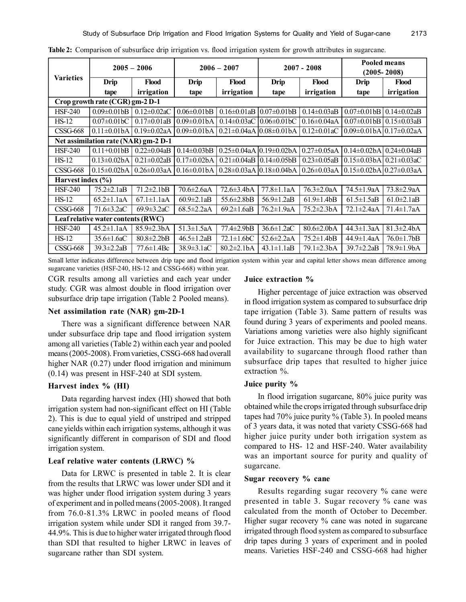| <b>Varieties</b>                   | $2005 - 2006$                        |                    | $2006 - 2007$                 |                    | $2007 - 2008$                          |                    | <b>Pooled means</b><br>$(2005 - 2008)$ |                    |  |
|------------------------------------|--------------------------------------|--------------------|-------------------------------|--------------------|----------------------------------------|--------------------|----------------------------------------|--------------------|--|
|                                    | <b>Drip</b><br>Flood                 |                    | Drip                          | <b>Flood</b>       | Drip                                   | Flood              | <b>Drip</b>                            | Flood              |  |
|                                    | tape                                 | irrigation         | tape                          | irrigation         | tape                                   | irrigation         | tape                                   | irrigation         |  |
| Crop growth rate (CGR) gm-2 D-1    |                                      |                    |                               |                    |                                        |                    |                                        |                    |  |
| <b>HSF-240</b>                     | $0.09 \pm 0.01$ <sub>bB</sub>        | $0.12 \pm 0.02$ aC | $0.06 \pm 0.01$ <sub>bB</sub> | $0.16 \pm 0.01$ aB | $0.07 \pm 0.01$ <sub>bB</sub>          | $0.14 \pm 0.03$ aB | $0.07 \pm 0.01$ <sub>bB</sub>          | $0.14 \pm 0.02$ aB |  |
| $HS-12$                            | $0.07 \pm 0.01$ <sub>b</sub> C       | $0.17 \pm 0.01$ aB | $0.09 \pm 0.01$ bA            | $0.14 \pm 0.03$ aC | $0.06 \pm 0.01$ <sub>b</sub> C         | $0.16 \pm 0.04$ aA | $0.07 \pm 0.01$ bB                     | $0.15 \pm 0.03$ aB |  |
| <b>CSSG-668</b>                    | $0.11 \pm 0.01$ bA                   | $0.19 \pm 0.02$ aA | $0.09 \pm 0.01$ bA            |                    | $0.21 \pm 0.04$ aA $0.08 \pm 0.01$ bA  | $0.12 \pm 0.01$ aC | $0.09\pm0.01bA$ 0.17 $\pm0.02aA$       |                    |  |
|                                    | Net assimilation rate (NAR) gm-2 D-1 |                    |                               |                    |                                        |                    |                                        |                    |  |
| <b>HSF-240</b>                     | $0.11 + 0.01$ <sub>b</sub> B         | $0.22 \pm 0.04$ aB | $0.14 \pm 0.03$ bB            |                    | $0.25 \pm 0.04$ aA $0.19 \pm 0.02$ bA  | $0.27 \pm 0.05$ aA | $0.14 \pm 0.02$ bA                     | $0.24 \pm 0.04$ aB |  |
| $HS-12$                            | $0.13 \pm 0.02$ bA                   | $0.21 \pm 0.02$ aB | l0.17±0.02bA                  |                    | $0.21 \pm 0.04$ aB $10.14 \pm 0.05$ bB | $0.23 \pm 0.05$ aB | $0.15 \pm 0.03$ bAl                    | $0.21 \pm 0.03$ aC |  |
| $CSSG-668$                         | $0.15 \pm 0.02$ bA                   | $0.26 \pm 0.03$ aA | $0.16 \pm 0.01$ bA            |                    | $0.28 \pm 0.03$ aA $ 0.18 \pm 0.04$ bA | $0.26 \pm 0.03$ aA | $10.15\pm0.02bA$ $0.27\pm0.03aA$       |                    |  |
| Harvest index $(\% )$              |                                      |                    |                               |                    |                                        |                    |                                        |                    |  |
| <b>HSF-240</b>                     | $75.2 \pm 2.1$ aB                    | $71.2 \pm 2.1$ bB  | $70.6 \pm 2.6a$ A             | $72.6 \pm 3.4$ bA  | 77.8±1.1aA                             | $76.3 \pm 2.0$ aA  | 74.5±1.9aA                             | 73.8±2.9aA         |  |
| $HS-12$                            | $65.2 \pm 1.1$ aA                    | $67.1 \pm 1.1$ aA  | $60.9 \pm 2.1$ aB             | $55.6 \pm 2.8$ bB  | 56.9±1.2aB                             | $61.9 \pm 1.4$     | $61.5 \pm 1.5$ aB                      | $61.0 \pm 2.1$ aB  |  |
| $CSSG-668$                         | $\overline{71.6} \pm 3.2$ aC         | $69.9 \pm 3.2$ aC  | $68.5 \pm 2.2a$ A             | $69.2 \pm 1.6$ aB  | 76.2±1.9aA                             | 75.2±2.3bA         | $72.1 \pm 2.4a$ A                      | $71.4 \pm 1.7aA$   |  |
| Leaf relative water contents (RWC) |                                      |                    |                               |                    |                                        |                    |                                        |                    |  |
| <b>HSF-240</b>                     | $45.2 \pm 1.1$ aA                    | $85.9 \pm 2.3$ bA  | $51.3 \pm 1.5$ aA             | $77.4 \pm 2.9 bB$  | $36.6 \pm 1.2$ aC                      | $80.6 \pm 2.0$ bA  | $44.3 \pm 1.3$ aA                      | $81.3 \pm 2.4$ bA  |  |
| $HS-12$                            | $35.6 \pm 1.6$ aC                    | $80.8 \pm 2.2 bB$  | $46.5 \pm 1.2$ aB             | $72.1 \pm 1.6$ bC  | $52.6 \pm 2.2a$ A                      | $75.2 \pm 1.4$     | $44.9 \pm 1.4a$ A                      | $76.0 \pm 1.7$ bB  |  |
| <b>CSSG-668</b>                    | $39.3 \pm 2.2$ aB                    | $77.6 \pm 1.4$ Bc  | $38.9 \pm 3.1$ aC             | $80.2 \pm 2.1$ bA  | $43.1 \pm 1.1$ aB                      | 79.1±2.3bA         | $39.7 \pm 2.2$ aB                      | 78.9±1.9bA         |  |

**Table 2:** Comparison of subsurface drip irrigation vs. flood irrigation system for growth attributes in sugarcane.

Small letter indicates difference between drip tape and flood irrigation system within year and capital letter shows mean difference among sugarcane varieties (HSF-240, HS-12 and CSSG-668) within year.

CGR results among all varieties and each year under study. CGR was almost double in flood irrigation over subsurface drip tape irrigation (Table 2 Pooled means).

# **Net assimilation rate (NAR) gm-2D-1**

There was a significant difference between NAR under subsurface drip tape and flood irrigation system among all varieties (Table 2) within each year and pooled means (2005-2008). From varieties, CSSG-668 had overall higher NAR (0.27) under flood irrigation and minimum (0.14) was present in HSF-240 at SDI system.

# **Harvest index % (HI)**

Data regarding harvest index (HI) showed that both irrigation system had non-significant effect on HI (Table 2). This is due to equal yield of unstriped and stripped cane yields within each irrigation systems, although it was significantly different in comparison of SDI and flood irrigation system.

#### **Leaf relative water contents (LRWC) %**

Data for LRWC is presented in table 2. It is clear from the results that LRWC was lower under SDI and it was higher under flood irrigation system during 3 years of experiment and in polled means (2005-2008). It ranged from 76.0-81.3% LRWC in pooled means of flood irrigation system while under SDI it ranged from 39.7- 44.9%. This is due to higher water irrigated through flood than SDI that resulted to higher LRWC in leaves of sugarcane rather than SDI system.

#### **Juice extraction %**

Higher percentage of juice extraction was observed in flood irrigation system as compared to subsurface drip tape irrigation (Table 3). Same pattern of results was found during 3 years of experiments and pooled means. Variations among varieties were also highly significant for Juice extraction. This may be due to high water availability to sugarcane through flood rather than subsurface drip tapes that resulted to higher juice extraction %.

#### **Juice purity %**

In flood irrigation sugarcane, 80% juice purity was obtained while the crops irrigated through subsurface drip tapes had 70% juice purity % (Table 3). In pooled means of 3 years data, it was noted that variety CSSG-668 had higher juice purity under both irrigation system as compared to HS- 12 and HSF-240. Water availability was an important source for purity and quality of sugarcane.

## **Sugar recovery % cane**

Results regarding sugar recovery % cane were presented in table 3. Sugar recovery % cane was calculated from the month of October to December. Higher sugar recovery % cane was noted in sugarcane irrigated through flood system as compared to subsurface drip tapes during 3 years of experiment and in pooled means. Varieties HSF-240 and CSSG-668 had higher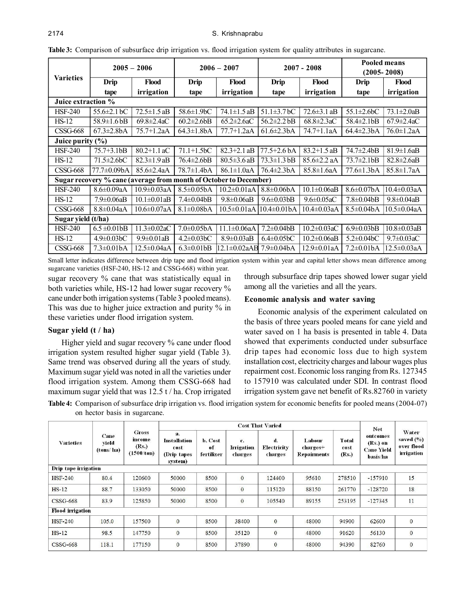|                    | $2005 - 2006$                 |                                                                   | $2006 - 2007$                 |                    | $2007 - 2008$                 |                    | <b>Pooled means</b><br>$(2005 - 2008)$ |                    |  |
|--------------------|-------------------------------|-------------------------------------------------------------------|-------------------------------|--------------------|-------------------------------|--------------------|----------------------------------------|--------------------|--|
| <b>Varieties</b>   | Drip<br>Flood                 |                                                                   | <b>Drip</b>                   | Flood              | <b>Drip</b>                   | Flood              | <b>Drip</b>                            | Flood              |  |
|                    | tape                          | irrigation                                                        | tape                          | irrigation         | tape                          | irrigation         | tape                                   | irrigation         |  |
|                    | Juice extraction %            |                                                                   |                               |                    |                               |                    |                                        |                    |  |
| <b>HSF-240</b>     | $55.6 \pm 2.1$ bC             | $72.5 \pm 1.5$ aB                                                 | 58.6±1.9bC                    | $74.1 \pm 1.5$ aB  | $51.1 \pm 3.7$ bC             | $72.6 \pm 3.1$ aB  | $55.1 \pm 2.6$ bC                      | $73.1 \pm 2.0$ aB  |  |
| $HS-12$            | $58.9 \pm 1.6 \text{ bB}$     | $69.8 \pm 2.4$ aC                                                 | $60.2 \pm 2.6$                | $65.2 \pm 2.6$ aC  | $56.2 \pm 2.2$ bB             | $68.8 \pm 2.3$ aC  | $58.4 \pm 2.1 \text{b}B$               | $67.9 \pm 2.4$ aC  |  |
| $CSSG-668$         | $67.3 \pm 2.8$ bA             | 75.7+1.2aA                                                        | $64.3 \pm 1.8$ bA             | $77.7 + 1.2aA$     | $61.6 \pm 2.3$ bA             | 74.7+1.1aA         | $64.4 \pm 2.3$ bA                      | 76.0±1.2aA         |  |
|                    | Juice purity $(\% )$          |                                                                   |                               |                    |                               |                    |                                        |                    |  |
| <b>HSF-240</b>     | $75.7 + 3.1$ bB               | $80.2 + 1.1$ aC                                                   | $71.1 + 1.5$ <sub>b</sub> C   | $82.3 + 2.1$ aB    | $77.5 + 2.6$ bA               | $83.2 + 1.5$ aB    | $74.7 \pm 2.4 bB$                      | $81.9 \pm 1.6$ aB  |  |
| $HS-12$            | $71.5 \pm 2.6$ bC             | $82.3 \pm 1.9$ aB                                                 | $76.4 \pm 2.6 bB$             | $80.5 \pm 3.6$ aB  | $73.3 \pm 1.3 \text{ bB}$     | $85.6 \pm 2.2$ aA  | $73.7 \pm 2.1 \text{b}B$               | $82.8 \pm 2.6$ aB  |  |
| $CSSG-668$         | $77.7 \pm 0.09$ bA            | $85.6 \pm 2.4a$ A                                                 | $78.7 \pm 1.4$ bA             | 86.1±1.0aA         | $76.4 \pm 2.3$ bA             | $85.8 \pm 1.6aA$   | $77.6 \pm 1.3$ bA                      | $85.8 \pm 1.7aA$   |  |
|                    |                               | Sugar recovery % cane (average from month of October to December) |                               |                    |                               |                    |                                        |                    |  |
| <b>HSF-240</b>     | $8.6 \pm 0.09$ aA             | $10.9 \pm 0.03$ aA                                                | $8.5 \pm 0.05$ bA             | $10.2 \pm 0.01$ aA | $8.8 \pm 0.06$ bA             | $10.1 \pm 0.06$ aB | $8.6 \pm 0.07$ bA                      | $10.4 \pm 0.03$ aA |  |
| $HS-12$            | $7.9 \pm 0.06$ aB             | $10.1 \pm 0.01$ aB                                                | $7.4 \pm 0.04$ bB             | $9.8 \pm 0.06$ aB  | $9.6 \pm 0.03$ bB             | $9.6 \pm 0.05$ aC  | $7.8 \pm 0.04$ bB                      | $9.8 \pm 0.04$ aB  |  |
| <b>CSSG-668</b>    | $8.8 \pm 0.04$ aA             | $10.6 \pm 0.07$ aA                                                | $8.1 \pm 0.08$ bA             | $10.5 \pm 0.01$ aA | $10.4 \pm 0.01$ bA            | $10.4 \pm 0.03$ aA | $8.5 \pm 0.04$ bA                      | $10.5 \pm 0.04$ aA |  |
| Sugar yield (t/ha) |                               |                                                                   |                               |                    |                               |                    |                                        |                    |  |
| <b>HSF-240</b>     | $6.5 \pm 0.01$ bB             | $11.3 \pm 0.02$ aC                                                | $7.0 \pm 0.05$ bA             | $11.1 \pm 0.06aA$  | $7.2 \pm 0.04$ bB             | $10.2 \pm 0.03$ aC | $6.9 \pm 0.03$ bB                      | $10.8 \pm 0.03$ aB |  |
| $HS-12$            | $4.9 \pm 0.03$ <sub>b</sub> C | $9.9 \pm 0.01$ aB                                                 | $4.2 \pm 0.03$ <sub>b</sub> C | $8.9 \pm 0.03$ aB  | $6.4 \pm 0.05$ <sub>b</sub> C | $10.2 \pm 0.06$ aB | $5.2 \pm 0.04$ <sub>b</sub> C          | $9.7 \pm 0.03$ aC  |  |
| <b>CSSG-668</b>    | $7.3 \pm 0.01$ bA             | $12.5 \pm 0.04aA$                                                 | $6.3 \pm 0.01$ bB             | 12.1±0.02aAB       | $7.9 \pm 0.04$ bA             | $12.9 \pm 0.01$ aA | $7.2 \pm 0.01$ bA                      | $12.5 \pm 0.03$ aA |  |

**Table 3:** Comparison of subsurface drip irrigation vs. flood irrigation system for quality attributes in sugarcane.

Small letter indicates difference between drip tape and flood irrigation system within year and capital letter shows mean difference among sugarcane varieties (HSF-240, HS-12 and CSSG-668) within year.

sugar recovery % cane that was statistically equal in both varieties while, HS-12 had lower sugar recovery % cane under both irrigation systems (Table 3 pooled means). This was due to higher juice extraction and purity % in these varieties under flood irrigation system.

# **Sugar yield (t / ha)**

Higher yield and sugar recovery % cane under flood irrigation system resulted higher sugar yield (Table 3). Same trend was observed during all the years of study. Maximum sugar yield was noted in all the varieties under flood irrigation system. Among them CSSG-668 had maximum sugar yield that was 12.5 t / ha. Crop irrigated

through subsurface drip tapes showed lower sugar yield among all the varieties and all the years.

# **Economic analysis and water saving**

Economic analysis of the experiment calculated on the basis of three years pooled means for cane yield and water saved on 1 ha basis is presented in table 4. Data showed that experiments conducted under subsurface drip tapes had economic loss due to high system installation cost, electricity charges and labour wages plus repairment cost. Economic loss ranging from Rs. 127345 to 157910 was calculated under SDI. In contrast flood irrigation system gave net benefit of Rs.82760 in variety

**Table 4:** Comparison of subsurface drip irrigation vs. flood irrigation system for economic benefits for pooled means (2004-07) on hector basis in sugarcane.

| <b>Varieties</b>        | Cane<br>vield<br>(tons/ha) | <b>Gross</b><br>income<br>(Rs.)<br>(1500/ton) | <b>Cost That Varied</b>                                     |                             |                                    |                              |                                   |                        |                                                                     |                                                   |
|-------------------------|----------------------------|-----------------------------------------------|-------------------------------------------------------------|-----------------------------|------------------------------------|------------------------------|-----------------------------------|------------------------|---------------------------------------------------------------------|---------------------------------------------------|
|                         |                            |                                               | a.<br><b>Installation</b><br>cost<br>(Drip tapes<br>system) | b. Cost<br>of<br>fertilizer | c.<br><b>Linigation</b><br>charges | d.<br>Electricity<br>charges | Labour<br>charges+<br>Repairments | Total<br>cost<br>(Rs.) | <b>Net</b><br>outcomes<br>(Rs.) on<br><b>Cane Yield</b><br>basis/ha | Water<br>saved $(\%)$<br>over flood<br>irrigation |
| Drip tape irrigation    |                            |                                               |                                                             |                             |                                    |                              |                                   |                        |                                                                     |                                                   |
| <b>HSF-240</b>          | 80.4                       | 120600                                        | 50000                                                       | 8500                        | $\bf{0}$                           | 124400                       | 95610                             | 278510                 | $-157910$                                                           | 15                                                |
| $HS-12$                 | 88.7                       | 133050                                        | 50000                                                       | 8500                        | $\mathbf{0}$                       | 115120                       | 88150                             | 261770                 | $-128720$                                                           | 18                                                |
| <b>CSSG-668</b>         | 83.9                       | 125850                                        | 50000                                                       | 8500                        | $\bf{0}$                           | 105540                       | 89155                             | 253195                 | $-127345$                                                           | 11                                                |
| <b>Flood</b> irrigation |                            |                                               |                                                             |                             |                                    |                              |                                   |                        |                                                                     |                                                   |
| $HSF-240$               | 105.0                      | 157500                                        | $\mathbf{0}$                                                | 8500                        | 38400                              | $\mathbf{0}$                 | 48000                             | 94900                  | 62600                                                               | $\mathbf{0}$                                      |
| $HS-12$                 | 98.5                       | 147750                                        | $\mathbf{0}$                                                | 8500                        | 35120                              | $\mathbf{0}$                 | 48000                             | 91620                  | 56130                                                               | $\mathbf{0}$                                      |
| <b>CSSG-668</b>         | 118.1                      | 177150                                        | $\bf{0}$                                                    | 8500                        | 37890                              | $\mathbf{0}$                 | 48000                             | 94390                  | 82760                                                               | $\boldsymbol{0}$                                  |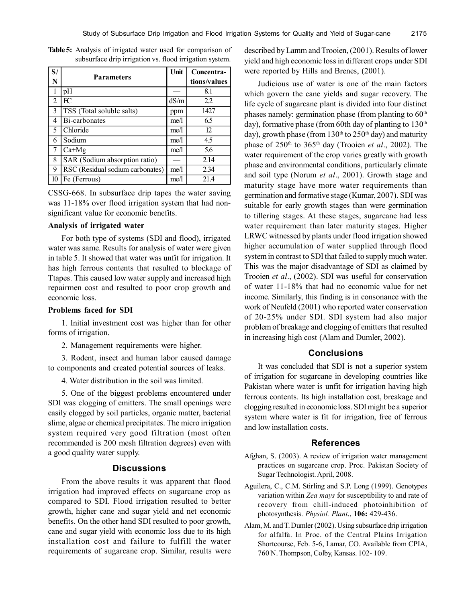| S/             |                                  | Unit | Concentra-   |
|----------------|----------------------------------|------|--------------|
| N              | <b>Parameters</b>                |      | tions/values |
|                | pH                               |      | 8.1          |
| $\overline{2}$ | FC                               | dS/m | 2.2          |
| 3              | TSS (Total soluble salts)        | ppm  | 1427         |
| 4              | $\overline{Bi}$ -carbonates      | me/l | 6.5          |
| 5              | <b>Chloride</b>                  | me/l | 12           |
| 6              | Sodium                           | me/l | 4.5          |
| 7              | $Ca+Mg$                          | me/l | 5.6          |
| 8              | SAR (Sodium absorption ratio)    |      | 2.14         |
| 9              | RSC (Residual sodium carbonates) | me/l | 2.34         |
| 10             | Fe (Ferrous)                     | me/l | 21.4         |

**Table 5:** Analysis of irrigated water used for comparison of subsurface drip irrigation vs. flood irrigation system.

CSSG-668. In subsurface drip tapes the water saving was 11-18% over flood irrigation system that had nonsignificant value for economic benefits.

#### **Analysis of irrigated water**

For both type of systems (SDI and flood), irrigated water was same. Results for analysis of water were given in table 5. It showed that water was unfit for irrigation. It has high ferrous contents that resulted to blockage of Ttapes. This caused low water supply and increased high repairmen cost and resulted to poor crop growth and economic loss.

## **Problems faced for SDI**

1. Initial investment cost was higher than for other forms of irrigation.

2. Management requirements were higher.

3. Rodent, insect and human labor caused damage to components and created potential sources of leaks.

4. Water distribution in the soil was limited.

5. One of the biggest problems encountered under SDI was clogging of emitters. The small openings were easily clogged by soil particles, organic matter, bacterial slime, algae or chemical precipitates. The micro irrigation system required very good filtration (most often recommended is 200 mesh filtration degrees) even with a good quality water supply.

# **Discussions**

From the above results it was apparent that flood irrigation had improved effects on sugarcane crop as compared to SDI. Flood irrigation resulted to better growth, higher cane and sugar yield and net economic benefits. On the other hand SDI resulted to poor growth, cane and sugar yield with economic loss due to its high installation cost and failure to fulfill the water requirements of sugarcane crop. Similar, results were

described by Lamm and Trooien, (2001). Results of lower yield and high economic loss in different crops under SDI were reported by Hills and Brenes, (2001).

Judicious use of water is one of the main factors which govern the cane yields and sugar recovery. The life cycle of sugarcane plant is divided into four distinct phases namely: germination phase (from planting to 60<sup>th</sup> day), formative phase (from 60th day of planting to  $130<sup>th</sup>$ day), growth phase (from 130<sup>th</sup> to 250<sup>th</sup> day) and maturity phase of 250th to 365th day (Trooien *et al*., 2002). The water requirement of the crop varies greatly with growth phase and environmental conditions, particularly climate and soil type (Norum *et al*., 2001). Growth stage and maturity stage have more water requirements than germination and formative stage (Kumar, 2007). SDI was suitable for early growth stages than were germination to tillering stages. At these stages, sugarcane had less water requirement than later maturity stages. Higher LRWC witnessed by plants under flood irrigation showed higher accumulation of water supplied through flood system in contrast to SDI that failed to supply much water. This was the major disadvantage of SDI as claimed by Trooien *et al*., (2002). SDI was useful for conservation of water 11-18% that had no economic value for net income. Similarly, this finding is in consonance with the work of Neufeld (2001) who reported water conservation of 20-25% under SDI. SDI system had also major problem of breakage and clogging of emitters that resulted in increasing high cost (Alam and Dumler, 2002).

### **Conclusions**

It was concluded that SDI is not a superior system of irrigation for sugarcane in developing countries like Pakistan where water is unfit for irrigation having high ferrous contents. Its high installation cost, breakage and clogging resulted in economic loss. SDI might be a superior system where water is fit for irrigation, free of ferrous and low installation costs.

#### **References**

- Afghan, S. (2003). A review of irrigation water management practices on sugarcane crop. Proc. Pakistan Society of Sugar Technologist. April, 2008.
- Aguilera, C., C.M. Stirling and S.P. Long (1999). Genotypes variation within *Zea mays* for susceptibility to and rate of recovery from chill-induced photoinhibition of photosynthesis. *Physiol. Plant*., **106:** 429-436.
- Alam, M. and T. Dumler (2002). Using subsurface drip irrigation for alfalfa. In Proc. of the Central Plains Irrigation Shortcourse, Feb. 5-6, Lamar, CO. Available from CPIA, 760 N. Thompson, Colby, Kansas. 102- 109.